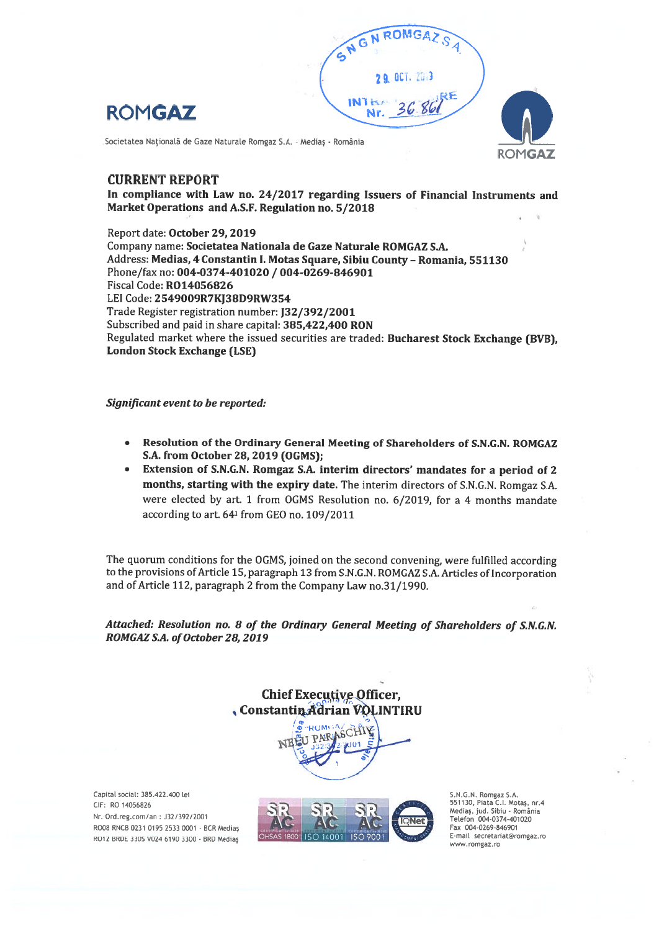





# CURRENT REPORT

In compliance with Law no. 24/2017 regarding Issuers of Financial Instruments and Market Operations and A.S.F. Regulation no. 5/2018

Report date: October 29, 2019 Company name: Societatea Nationala de Gaze Naturale ROMGAZ S.A. Address: Medias, 4 Constantin I. Motas Square, Sibiu County – Romania, 551130 Phone/fax no: 004-0374-401020 / 004-0269-846901 Fiscal Code: R014056826 LEI Code: 2549009R7KJ38D9RW354 Trade Register registration number: 132/392/2001 Subscribed and paid in share capital: 385,422,400 RON Regulated market where the issued securities are traded: Bucharest Stock Exchange (BVB), London Stock Exchange (LSE)

## Significant event to be reported:

- Resolution of the Ordinary General Meeting of Shareholders of S.N.G.N. ROMGAZ S.A. from October 28, 2019 (OGMS);
- Extension of S.N.G.N. Romgaz S.A. interitn directors' mandates for <sup>a</sup> period of <sup>2</sup> months, starting with the expiry date. The interim directors of S.N.G.N. Romgaz S.A. were elected by art. 1 from OGMS Resolution no. 6/2019, for <sup>a</sup> 4 months mandate according to art. <sup>641</sup> from GEO no. 109/2011

The quorum conditions for the OGMS, joined on the second convening, were fulfilled according to the provisions of Article 15, paragraph 13 from S.N.G.N. ROMGAZ S.A. Articles of Incorporation and of Article 112, paragraph 2 from the Company Law no.31/1990

Attached: Resolution no. 8 of the Ordinary General Meeting of Shareholders of S.N.G.N. ROMGAZ S.A. of October 28, 2019

> Chief Executive Officer, , Constantin Adrian VOLINTIRU



Capital social: 385.422.400 lei CIF: RO 14056826 Nr. Ord.reg.com/an : J32/392/2001 R008 RNCB 0231 0195 2533 0001 - BCR Mediaş R012 BRDE 330S V024 6190 3300 - BRD Mediaş



S.N.G.W. Rorngaz S.A. 551130, Piața C.I. Motaș, nr.4<br>Mediaș, jud. Sibiu - România<br>Telefon 004-0374-401020 Fax 004-0269-846901 E-mail secretanatçromgaz.ro www.romgaz.ro